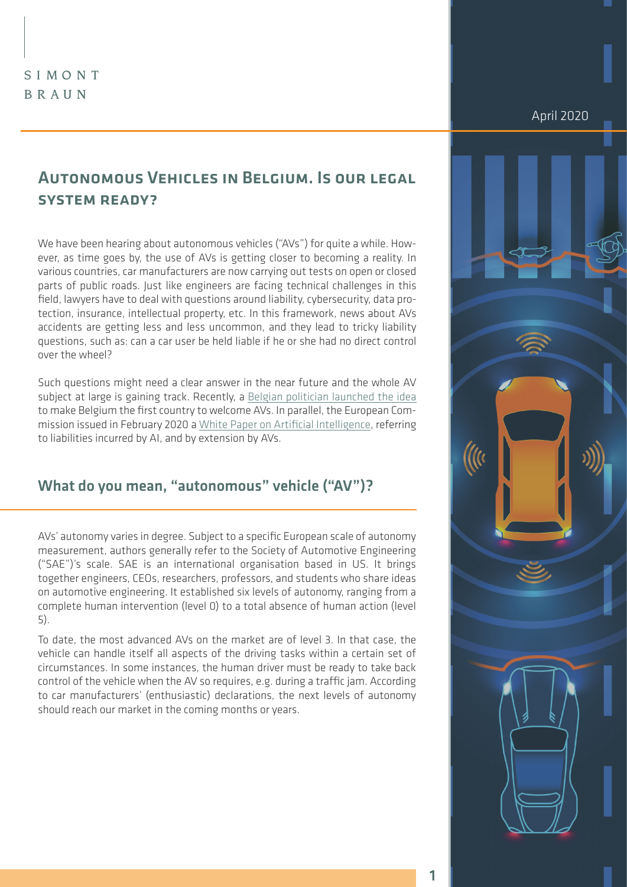## SIMONT BRAUN

# Autonomous Vehicles in Belgium. Is our legal system ready?

We have been hearing about autonomous vehicles ("AVs") for quite a while. However, as time goes by, the use of AVs is getting closer to becoming a reality. In various countries, car manufacturers are now carrying out tests on open or closed parts of public roads. Just like engineers are facing technical challenges in this field, lawyers have to deal with questions around liability, cybersecurity, data protection, insurance, intellectual property, etc. In this framework, news about AVs accidents are getting less and less uncommon, and they lead to tricky liability questions, such as: can a car user be held liable if he or she had no direct control over the wheel?

Such questions might need a clear answer in the near future and the whole AV subject at large is gaining track. Recently, a [Belgian politician launched the idea](https://www.lecho.be/economie-politique/belgique/federal/pourquoi-bouchez-veut-une-belgique-leader-de-la-voiture-autonome/10198325.html?) to make Belgium the first country to welcome AVs. In parallel, the European Commission issued in February 2020 a [White Paper on Artificial Intelligence,](http://White Paper on Artificial Intelligence) referring to liabilities incurred by AI, and by extension by AVs.

### What do you mean, "autonomous" vehicle ("AV")?

AVs' autonomy varies in degree. Subject to a specific European scale of autonomy measurement, authors generally refer to the Society of Automotive Engineering ("SAE")'s scale. SAE is an international organisation based in US. It brings together engineers, CEOs, researchers, professors, and students who share ideas on automotive engineering. It established six levels of autonomy, ranging from a complete human intervention (level 0) to a total absence of human action (level 5).

To date, the most advanced AVs on the market are of level 3. In that case, the vehicle can handle itself all aspects of the driving tasks within a certain set of circumstances. In some instances, the human driver must be ready to take back control of the vehicle when the AV so requires, e.g. during a traffic jam. According to car manufacturers' (enthusiastic) declarations, the next levels of autonomy should reach our market in the coming months or years.

April 2020



1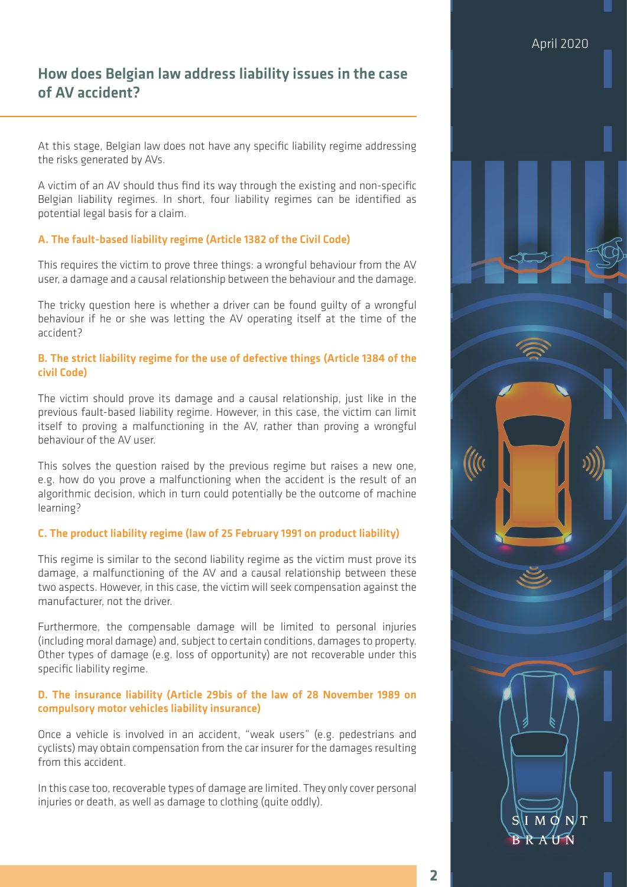## How does Belgian law address liability issues in the case of AV accident?

At this stage, Belgian law does not have any specific liability regime addressing the risks generated by AVs.

A victim of an AV should thus find its way through the existing and non-specific Belgian liability regimes. In short, four liability regimes can be identified as potential legal basis for a claim.

#### A. The fault-based liability regime (Article 1382 of the Civil Code)

This requires the victim to prove three things: a wrongful behaviour from the AV user, a damage and a causal relationship between the behaviour and the damage.

The tricky question here is whether a driver can be found guilty of a wrongful behaviour if he or she was letting the AV operating itself at the time of the accident?

#### B. The strict liability regime for the use of defective things (Article 1384 of the civil Code)

The victim should prove its damage and a causal relationship, just like in the previous fault-based liability regime. However, in this case, the victim can limit itself to proving a malfunctioning in the AV, rather than proving a wrongful behaviour of the AV user.

This solves the question raised by the previous regime but raises a new one, e.g. how do you prove a malfunctioning when the accident is the result of an algorithmic decision, which in turn could potentially be the outcome of machine learning?

#### C. The product liability regime (law of 25 February 1991 on product liability)

This regime is similar to the second liability regime as the victim must prove its damage, a malfunctioning of the AV and a causal relationship between these two aspects. However, in this case, the victim will seek compensation against the manufacturer, not the driver.

Furthermore, the compensable damage will be limited to personal injuries (including moral damage) and, subject to certain conditions, damages to property. Other types of damage (e.g. loss of opportunity) are not recoverable under this specific liability regime.

#### D. The insurance liability (Article 29bis of the law of 28 November 1989 on compulsory motor vehicles liability insurance)

Once a vehicle is involved in an accident, "weak users" (e.g. pedestrians and cyclists) may obtain compensation from the car insurer for the damages resulting from this accident.

In this case too, recoverable types of damage are limited. They only cover personal injuries or death, as well as damage to clothing (quite oddly).